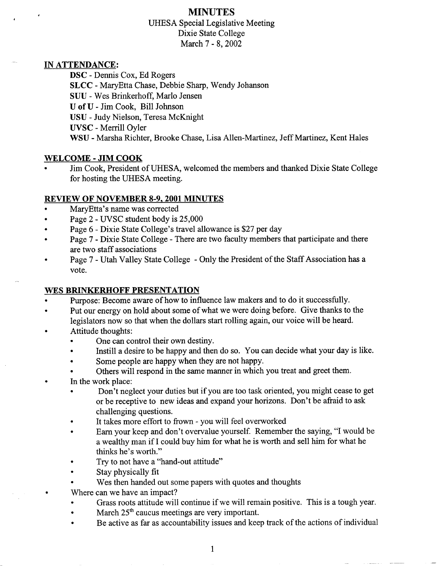## **MINUTES** UHESA Special Legislative Meeting Dixie State College March 7 - 8, 2002

### IN **ATTENDANCE;**

DSC - Dennis Cox, Ed Rogers **SLCC** - MaryEtta Chase, Debbie Sharp, Wendy Johanson SUU - Wes Brinkerhoff, Mario Jensen U of U - Jim Cook, Bill Johnson USU - Judy Nielson, Teresa McKnight UVSC - Merrill Oyler WSU - Marsha Richter, Brooke Chase, Lisa Allen-Martinez, Jeff Martinez, Kent Hales

### **WELCOME - JIM COOK**

• Jim Cook, President of UHESA, welcomed the members and thanked Dixie State College for hosting the UHESA meeting.

### **REVIEW OF NOVEMBER 8-9. 2001 MINUTES**

- MaryEtta's name was corrected
- Page 2 UVSC student body is 25,000
- Page 6 Dixie State College's travel allowance is \$27 per day
- Page 7 Dixie State College There are two faculty members that participate and there are two staff associations
- Page 7 Utah Valley State College Only the President of the Staff Association has a vote.

## **WES BRINKERHOFF PRESENTATION**

- Purpose: Become aware of how to influence law makers and to do it successfully.
- Put our energy on hold about some of what we were doing before. Give thanks to the legislators now so that when the dollars start rolling again, our voice will be heard.
- Attitude thoughts:
	- One can control their own destiny.
	- Instill a desire to be happy and then do so. You can decide what your day is like.
	- Some people are happy when they are not happy.
	- Others will respond in the same manner in which you treat and greet them.
- In the work place:
	- Don't neglect your duties but if you are too task oriented, you might cease to get or be receptive to new ideas and expand your horizons. Don't be afraid to ask challenging questions.
	- It takes more effort to frown you will feel overworked
	- Earn your keep and don't overvalue yourself. Remember the saying, "I would be a wealthy man if I could buy him for what he is worth and sell him for what he thinks he's worth."
	- Try to not have a "hand-out attitude"
	- Stay physically fit
	- Wes then handed out some papers with quotes and thoughts
	- Where can we have an impact?
		- Grass roots attitude will continue if we will remain positive. This is a tough year.
		- March  $25<sup>th</sup>$  caucus meetings are very important.
		- Be active as far as accountability issues and keep track of the actions of individual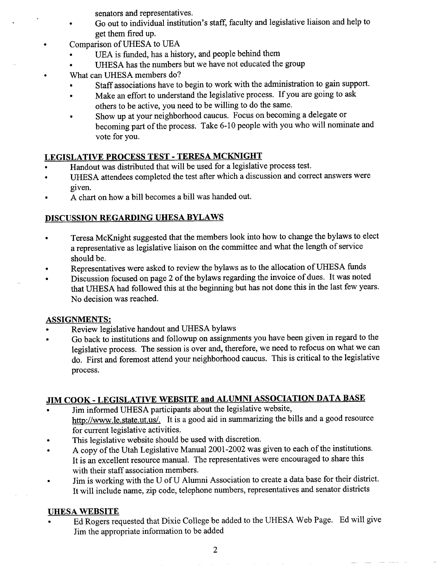senators and representatives.

- Go out to individual institution's staff, faculty and legislative liaison and help to get them fired up.
- Comparison of UHESA to UEA
- UEA is funded, has a history, and people behind them
- UHESA has the numbers but we have not educated the group
- What can UHESA members do?
- Staff associations have to begin to work with the administration to gain support.
- Make an effort to understand the legislative process. If you are going to ask  $\bullet$ others to be active, you need to be willing to do the same.
- Show up at your neighborhood caucus. Focus on becoming a delegate or becoming part of the process. Take 6-10 people with you who will nominate and vote for you.

## **LEGISLATIVE PROCESS TEST - TERESA MCKNIGHT**

- Handout was distributed that will be used for a legislative process test.
- UHESA attendees completed the test after which a discussion and correct answers were given.
- A chart on how a bill becomes a bill was handed out.

## **DISCUSSION REGARDING UHESA BYLAWS**

- Teresa McKnight suggested that the members look into how to change the bylaws to elect a representative as legislative liaison on the committee and what the length of service should be.
- Representatives were asked to review the bylaws as to the allocation of UHESA funds
- Discussion focused on page 2 of the bylaws regarding the invoice of dues. It was noted that UHESA had followed this at the beginning but has not done this in the last few years. No decision was reached.

## **ASSIGNMENTS:**

- Review legislative handout and UHESA bylaws
- Go back to institutions and followup on assignments you have been given in regard to the legislative process. The session is over and, therefore, we need to refocus on what we can do. First and foremost attend your neighborhood caucus. This is critical to the legislative process.

# **JIM COOK - LEGISLATIVE WEBSITE and ALUMNI ASSOCIATION DATA BASE**

- Jim informed UHESA participants about the legislative website, http://www.le.state.ut.us/. It is a good aid in summarizing the bills and a good resource for current legislative activities.
- This legislative website should be used with discretion.
- A copy of the Utah Legislative Manual 2001-2002 was given to each of the institutions. It is an excellent resource manual. The representatives were encouraged to share this with their staff association members.
- Jim is working with the U of U Alumni Association to create a data base for their district. It will include name, zip code, telephone numbers, representatives and senator districts

## UHESA WEBSITE

• Ed Rogers requested that Dixie College be added to the UHESA Web Page. Ed will give Jim the appropriate information to be added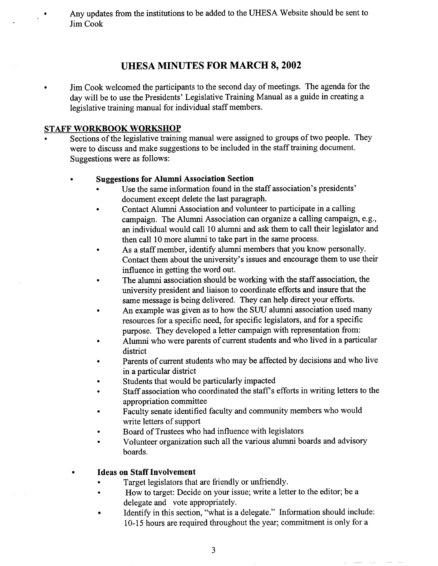Any updates from the institutions to be added to the UHESA Website should be sent to Jim Cook

## **UHESA MINUTES FOR MARCH 8, 2002**

• Jim Cook welcomed the participants to the second day of meetings. The agenda for the day will be to use the Presidents' Legislative Training Manual as a guide in creating a legislative training manual for individual staff members.

### **STAFF WORKBOOK WORKSHOP**

 $\bullet$ 

Sections of the legislative training manual were assigned to groups of two people. They were to discuss and make suggestions to be included in the staff training document. Suggestions were as follows:

### **• Suggestions for Alumni Association Section**

- Use the same information found in the staff association's presidents' document except delete the last paragraph.
- Contact Alumni Association and volunteer to participate in a calling campaign. The Alumni Association can organize a calling campaign, e.g., an individual would call 10 alumni and ask them to call their legislator and then call 10 more alumni to take part in the same process.
- As a staff member, identify alumni members that you know personally. Contact them about the university's issues and encourage them to use their influence in getting the word out.
- The alumni association should be working with the staff association, the university president and liaison to coordinate efforts and insure that the same message is being delivered. They can help direct your efforts.
- An example was given as to how the SUU alumni association used many resources for a specific need, for specific legislators, and for a specific purpose. They developed a letter campaign with representation from:
- Alumni who were parents of current students and who lived in a particular district
- Parents of current students who may be affected by decisions and who live in a particular district
- Students that would be particularly impacted
- Staff association who coordinated the staff's efforts in writing letters to the appropriation committee
- Faculty senate identified faculty and community members who would write letters of support
- Board of Trustees who had influence with legislators
- Volunteer organization such all the various alumni boards and advisory boards.

## **• Ideas on Staff Involvement**

- Target legislators that are friendly or unfriendly.
- How to target: Decide on your issue; write a letter to the editor; be a delegate and vote appropriately.
- Identify in this section, "what is a delegate." Information should include: 10-15 hours are required throughout the year; commitment is only for a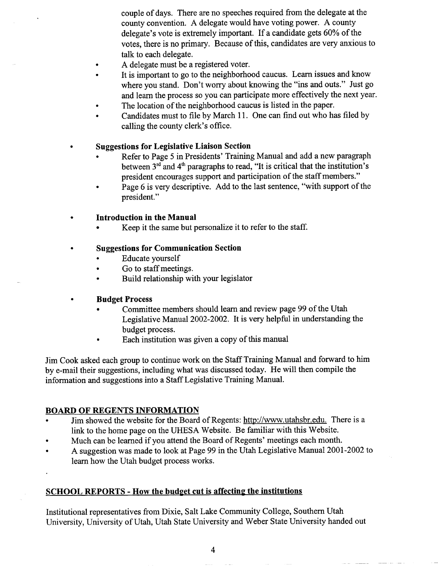couple of days. There are no speeches required from the delegate at the county convention. A delegate would have voting power. A county delegate's vote is extremely important. If a candidate gets 60% of the votes, there is no primary. Because of this, candidates are very anxious to talk to each delegate.

- A delegate must be a registered voter.
- It is important to go to the neighborhood caucus. Learn issues and know where you stand. Don't worry about knowing the "ins and outs." Just go and learn the process so you can participate more effectively the next year.
- The location of the neighborhood caucus is listed in the paper.
- Candidates must to file by March 11. One can find out who has filed by calling the county clerk's office.

#### **• Suggestions for Legislative Liaison Section**

- Refer to Page 5 in Presidents' Training Manual and add a new paragraph between  $3<sup>rd</sup>$  and  $4<sup>th</sup>$  paragraphs to read, "It is critical that the institution's president encourages support and participation of the staff members."
- Page 6 is very descriptive. Add to the last sentence, "with support of the president."

#### **• Introduction in the Manual**

Keep it the same but personalize it to refer to the staff.

#### **• Suggestions for Communication Section**

- Educate yourself
- Go to staff meetings.
- Build relationship with your legislator

#### **• Budget Process**

- Committee members should learn and review page 99 of the Utah Legislative Manual 2002-2002. It is very helpful in understanding the budget process.
- Each institution was given a copy of this manual

Jim Cook asked each group to continue work on the Staff Training Manual and forward to him by e-mail their suggestions, including what was discussed today. He will then compile the information and suggestions into a Staff Legislative Training Manual.

#### **BOARD OF REGENTS INFORMATION**

- Jim showed the website for the Board of Regents: http://www.utahsbr.edu. There is a link to the home page on the UHESA Website. Be familiar with this Website.
- Much can be learned if you attend the Board of Regents' meetings each month.
- A suggestion was made to look at Page 99 in the Utah Legislative Manual 2001-2002 to learn how the Utah budget process works.

#### **SCHOOL REPORTS - How the budget cut is affecting the institutions**

Institutional representatives from Dixie, Salt Lake Community College, Southern Utah University, University of Utah, Utah State University and Weber State University handed out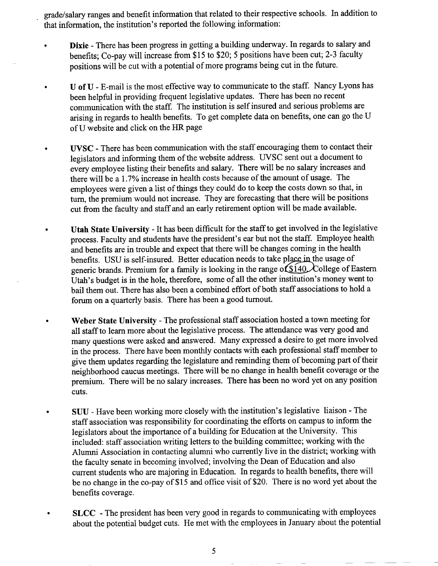grade/salary ranges and benefit information that related to their respective schools. In addition to that information, the institution's reported the following information:

- **Dixie** There has been progress in getting a building underway. In regards to salary and benefits; Co-pay will increase from \$15 to \$20; 5 positions have been cut; 2-3 faculty positions will be cut with a potential of more programs being cut in the future.
	- U of U E-mail is the most effective way to communicate to the staff. Nancy Lyons has been helpful in providing frequent legislative updates. There has been no recent communication with the staff. The institution is self insured and serious problems are arising in regards to health benefits. To get complete data on benefits, one can go the U of U website and click on the HR page
- **UVSC** There has been communication with the staff encouraging them to contact their legislators and informing them of the website address. UVSC sent out a document to every employee listing their benefits and salary. There will be no salary increases and there will be a 1.7% increase in health costs because of the amount of usage. The employees were given a list of things they could do to keep the costs down so that, in turn, the premium would not increase. They are forecasting that there will be positions cut from the faculty and staff and an early retirement option will be made available.
	- **Utah State University** It has been difficult for the staff to get involved in the legislative process. Faculty and students have the president's ear but not the staff. Employee health and benefits are in trouble and expect that there will be changes coming in the health benefits. USU is self-insured. Better education needs to take place in the usage of generic brands. Premium for a family is looking in the range of  $$140$ . College of Eastern Utah's budget is in the hole, therefore, some of all the other institution's money went to bail them out. There has also been a combined effort of both staff associations to hold a forum on a quarterly basis. There has been a good turnout.
		- **Weber State University** The professional staff association hosted a town meeting for all staff to learn more about the legislative process. The attendance was very good and many questions were asked and answered. Many expressed a desire to get more involved in the process. There have been monthly contacts with each professional staff member to give them updates regarding the legislature and reminding them of becoming part of their neighborhood caucus meetings. There will be no change in health benefit coverage or the premium. There will be no salary increases. There has been no word yet on any position cuts.
		- SUU Have been working more closely with the institution's legislative liaison The staff association was responsibility for coordinating the efforts on campus to inform the legislators about the importance of a building for Education at the University. This included: staff association writing letters to the building committee; working with the Alumni Association in contacting alumni who currently live in the district; working with the faculty senate in becoming involved; involving the Dean of Education and also current students who are majoring in Education. In regards to health benefits, there will be no change in the co-pay of \$15 and office visit of \$20. There is no word yet about the benefits coverage.
	- **SLCC** The president has been very good in regards to communicating with employees about the potential budget cuts. He met with the employees in January about the potential